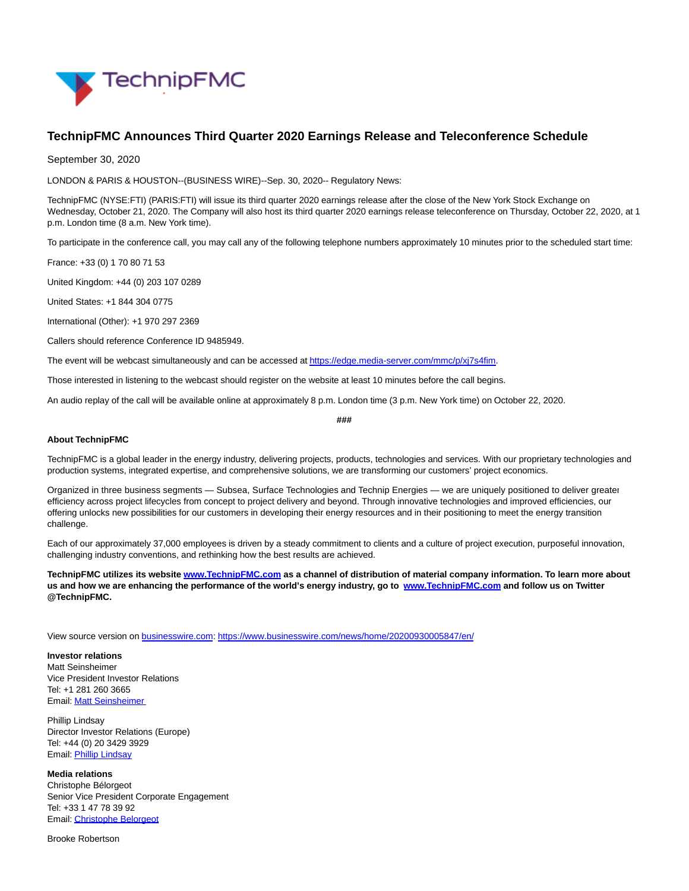

## **TechnipFMC Announces Third Quarter 2020 Earnings Release and Teleconference Schedule**

September 30, 2020

LONDON & PARIS & HOUSTON--(BUSINESS WIRE)--Sep. 30, 2020-- Regulatory News:

TechnipFMC (NYSE:FTI) (PARIS:FTI) will issue its third quarter 2020 earnings release after the close of the New York Stock Exchange on Wednesday, October 21, 2020. The Company will also host its third quarter 2020 earnings release teleconference on Thursday, October 22, 2020, at 1 p.m. London time (8 a.m. New York time).

To participate in the conference call, you may call any of the following telephone numbers approximately 10 minutes prior to the scheduled start time:

France: +33 (0) 1 70 80 71 53

United Kingdom: +44 (0) 203 107 0289

United States: +1 844 304 0775

International (Other): +1 970 297 2369

Callers should reference Conference ID 9485949.

The event will be webcast simultaneously and can be accessed at https://edge.media-server.com/mmc/p/xi7s4fim.

Those interested in listening to the webcast should register on the website at least 10 minutes before the call begins.

An audio replay of the call will be available online at approximately 8 p.m. London time (3 p.m. New York time) on October 22, 2020.

**###**

## **About TechnipFMC**

TechnipFMC is a global leader in the energy industry, delivering projects, products, technologies and services. With our proprietary technologies and production systems, integrated expertise, and comprehensive solutions, we are transforming our customers' project economics.

Organized in three business segments — Subsea, Surface Technologies and Technip Energies — we are uniquely positioned to deliver greater efficiency across project lifecycles from concept to project delivery and beyond. Through innovative technologies and improved efficiencies, our offering unlocks new possibilities for our customers in developing their energy resources and in their positioning to meet the energy transition challenge.

Each of our approximately 37,000 employees is driven by a steady commitment to clients and a culture of project execution, purposeful innovation, challenging industry conventions, and rethinking how the best results are achieved.

**TechnipFMC utilizes its websit[e www.TechnipFMC.com a](https://cts.businesswire.com/ct/CT?id=smartlink&url=http%3A%2F%2Fwww.TechnipFMC.com&esheet=52298088&newsitemid=20200930005847&lan=en-US&anchor=www.TechnipFMC.com&index=2&md5=d5b425da3b80f3443c173830ef5871bd)s a channel of distribution of material company information. To learn more about us and how we are enhancing the performance of the world's energy industry, go to [www.TechnipFMC.com a](https://cts.businesswire.com/ct/CT?id=smartlink&url=http%3A%2F%2Fwww.TechnipFMC.com&esheet=52298088&newsitemid=20200930005847&lan=en-US&anchor=www.TechnipFMC.com&index=3&md5=f9b3db8bec67543a5bc598656b33bde4)nd follow us on Twitter @TechnipFMC.**

View source version on [businesswire.com:](http://businesswire.com/)<https://www.businesswire.com/news/home/20200930005847/en/>

**Investor relations** Matt Seinsheimer Vice President Investor Relations Tel: +1 281 260 3665 Email[: Matt Seinsheimer](mailto:InvestorRelations@TechnipFMC.com)

Phillip Lindsay Director Investor Relations (Europe) Tel: +44 (0) 20 3429 3929 Email[: Phillip Lindsay](mailto:InvestorRelations@TechnipFMC.com)

**Media relations**

Christophe Bélorgeot Senior Vice President Corporate Engagement Tel: +33 1 47 78 39 92 Email[: Christophe Belorgeot](mailto:media@TechnipFMC.com)

Brooke Robertson